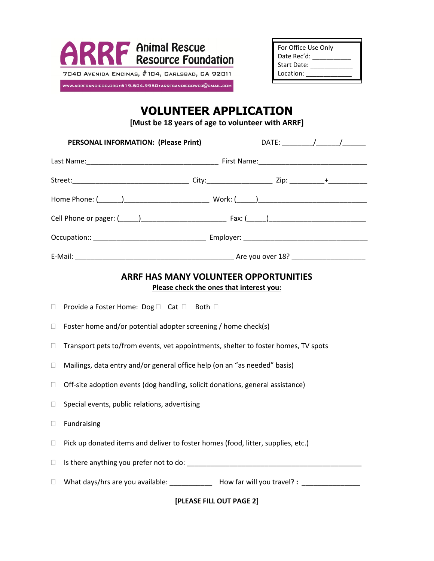

| For Office Use Only |  |
|---------------------|--|
| Date Rec'd:         |  |
| Start Date:         |  |
| Location:           |  |

## **VOLUNTEER APPLICATION**

**[Must be 18 years of age to volunteer with ARRF]**

|        | PERSONAL INFORMATION: (Please Print)                                                                                                                                                                                           | $\mathsf{DATE:}\begin{picture}(20,10) \put(0,0){\dashbox{0.5}(10,0){10}} \put(15,0){\dashbox{0.5}(10,0){10}} \put(15,0){\dashbox{0.5}(10,0){10}} \put(15,0){\dashbox{0.5}(10,0){10}} \put(15,0){\dashbox{0.5}(10,0){10}} \put(15,0){\dashbox{0.5}(10,0){10}} \put(15,0){\dashbox{0.5}(10,0){10}} \put(15,0){\dashbox{0.5}(10,0){10}} \put(15,0){\dashbox$ |
|--------|--------------------------------------------------------------------------------------------------------------------------------------------------------------------------------------------------------------------------------|-----------------------------------------------------------------------------------------------------------------------------------------------------------------------------------------------------------------------------------------------------------------------------------------------------------------------------------------------------------|
|        |                                                                                                                                                                                                                                |                                                                                                                                                                                                                                                                                                                                                           |
|        |                                                                                                                                                                                                                                |                                                                                                                                                                                                                                                                                                                                                           |
|        |                                                                                                                                                                                                                                |                                                                                                                                                                                                                                                                                                                                                           |
|        |                                                                                                                                                                                                                                |                                                                                                                                                                                                                                                                                                                                                           |
|        |                                                                                                                                                                                                                                |                                                                                                                                                                                                                                                                                                                                                           |
|        |                                                                                                                                                                                                                                |                                                                                                                                                                                                                                                                                                                                                           |
|        | <b>ARRF HAS MANY VOLUNTEER OPPORTUNITIES</b><br>Please check the ones that interest you:                                                                                                                                       |                                                                                                                                                                                                                                                                                                                                                           |
| $\Box$ | Provide a Foster Home: Dog □ Cat □ Both □                                                                                                                                                                                      |                                                                                                                                                                                                                                                                                                                                                           |
| $\Box$ | Foster home and/or potential adopter screening / home check(s)                                                                                                                                                                 |                                                                                                                                                                                                                                                                                                                                                           |
| $\Box$ | Transport pets to/from events, vet appointments, shelter to foster homes, TV spots                                                                                                                                             |                                                                                                                                                                                                                                                                                                                                                           |
| $\Box$ | Mailings, data entry and/or general office help (on an "as needed" basis)                                                                                                                                                      |                                                                                                                                                                                                                                                                                                                                                           |
| $\Box$ | Off-site adoption events (dog handling, solicit donations, general assistance)                                                                                                                                                 |                                                                                                                                                                                                                                                                                                                                                           |
| $\Box$ | Special events, public relations, advertising                                                                                                                                                                                  |                                                                                                                                                                                                                                                                                                                                                           |
| $\Box$ | Fundraising                                                                                                                                                                                                                    |                                                                                                                                                                                                                                                                                                                                                           |
| $\Box$ | Pick up donated items and deliver to foster homes (food, litter, supplies, etc.)                                                                                                                                               |                                                                                                                                                                                                                                                                                                                                                           |
| $\Box$ | Is there anything you prefer not to do: example and the state of the state of the state of the state of the state of the state of the state of the state of the state of the state of the state of the state of the state of t |                                                                                                                                                                                                                                                                                                                                                           |
| $\Box$ | What days/hrs are you available: ______________ How far will you travel? : _____________                                                                                                                                       |                                                                                                                                                                                                                                                                                                                                                           |

**[PLEASE FILL OUT PAGE 2]**